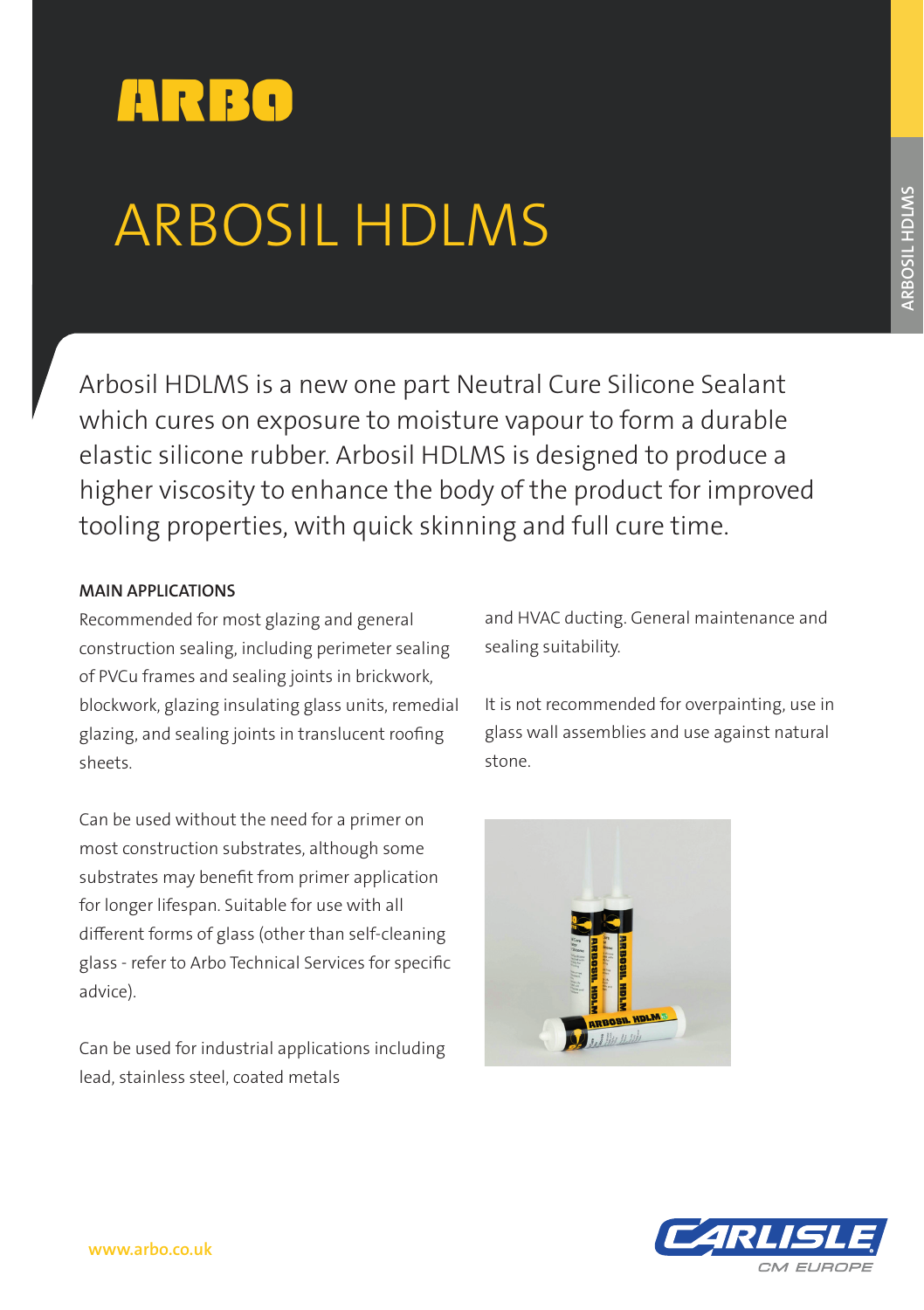

# ARBOSIL HDLMS

Arbosil HDLMS is a new one part Neutral Cure Silicone Sealant which cures on exposure to moisture vapour to form a durable elastic silicone rubber. Arbosil HDLMS is designed to produce a higher viscosity to enhance the body of the product for improved tooling properties, with quick skinning and full cure time.

# **MAIN APPLICATIONS**

Recommended for most glazing and general construction sealing, including perimeter sealing of PVCu frames and sealing joints in brickwork, blockwork, glazing insulating glass units, remedial glazing, and sealing joints in translucent roofing sheets.

Can be used without the need for a primer on most construction substrates, although some substrates may benefit from primer application for longer lifespan. Suitable for use with all different forms of glass (other than self-cleaning glass - refer to Arbo Technical Services for specific advice).

Can be used for industrial applications including lead, stainless steel, coated metals

and HVAC ducting. General maintenance and sealing suitability.

It is not recommended for overpainting, use in glass wall assemblies and use against natural stone.



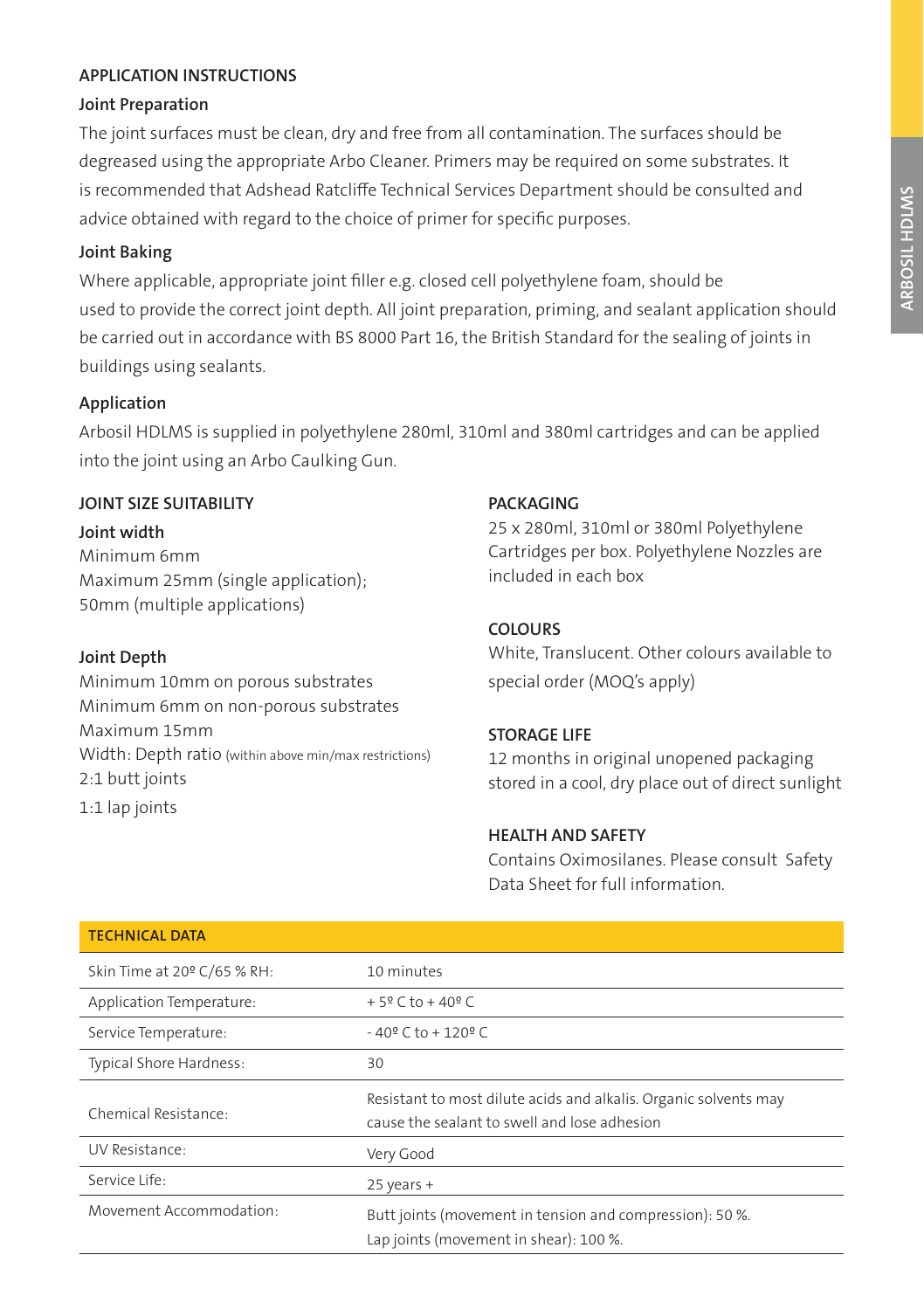# **APPLICATION INSTRUCTIONS**

#### **Joint Preparation**

The joint surfaces must be clean, dry and free from all contamination. The surfaces should be degreased using the appropriate Arbo Cleaner. Primers may be required on some substrates. It is recommended that Adshead Ratcliffe Technical Services Department should be consulted and advice obtained with regard to the choice of primer for specific purposes.

#### **Joint Baking**

Where applicable, appropriate joint filler e.g. closed cell polyethylene foam, should be used to provide the correct joint depth. All joint preparation, priming, and sealant application should be carried out in accordance with BS 8000 Part 16, the British Standard for the sealing of joints in buildings using sealants.

# **Application**

Arbosil HDLMS is supplied in polyethylene 280ml, 310ml and 380ml cartridges and can be applied into the joint using an Arbo Caulking Gun.

#### **JOINT SIZE SUITABILITY**

**Joint width** Minimum 6mm Maximum 25mm (single application); 50mm (multiple applications)

#### **Joint Depth**

Minimum 10mm on porous substrates Minimum 6mm on non-porous substrates Maximum 15mm Width: Depth ratio (within above min/max restrictions) 2:1 butt joints 1:1 lap joints

#### **PACKAGING**

25 x 280ml, 310ml or 380ml Polyethylene Cartridges per box. Polyethylene Nozzles are included in each box

# **COLOURS**

White, Translucent. Other colours available to special order (MOQ's apply)

# **STORAGE LIFE**

12 months in original unopened packaging stored in a cool, dry place out of direct sunlight

# **HEALTH AND SAFETY**

Contains Oximosilanes. Please consult Safety Data Sheet for full information.

| <b>TECHNICAL DATA</b>       |                                                                                                                  |
|-----------------------------|------------------------------------------------------------------------------------------------------------------|
| Skin Time at 20° C/65 % RH: | 10 minutes                                                                                                       |
| Application Temperature:    | $+5$ <sup>o</sup> C to $+40$ <sup>o</sup> C                                                                      |
| Service Temperature:        | $-40$ <sup>o</sup> C to $+120$ <sup>o</sup> C                                                                    |
| Typical Shore Hardness:     | 30                                                                                                               |
| Chemical Resistance:        | Resistant to most dilute acids and alkalis. Organic solvents may<br>cause the sealant to swell and lose adhesion |
| UV Resistance:              | Very Good                                                                                                        |
| Service Life:               | $25$ years +                                                                                                     |
| Movement Accommodation:     | Butt joints (movement in tension and compression): 50 %.<br>Lap joints (movement in shear): 100 %.               |